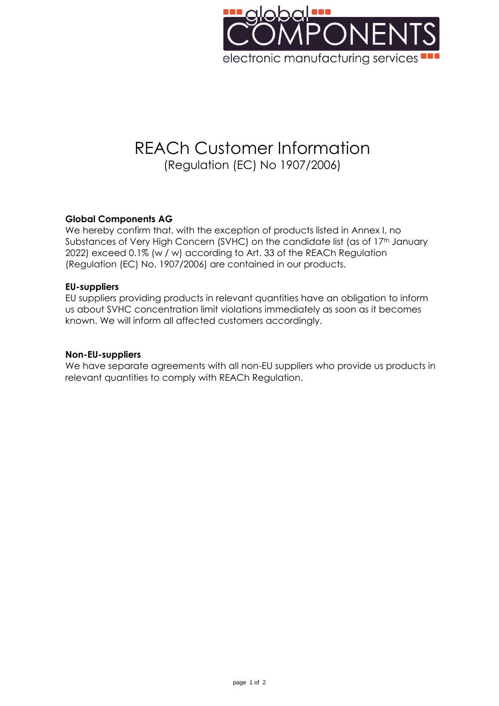

# REACh Customer Information (Regulation (EC) No 1907/2006)

## **Global Components AG**

We hereby confirm that, with the exception of products listed in Annex I, no Substances of Very High Concern (SVHC) on the candidate list (as of 17<sup>th</sup> January 2022) exceed 0.1% (w / w) according to Art. 33 of the REACh Regulation (Regulation (EC) No. 1907/2006) are contained in our products.

#### **EU-suppliers**

EU suppliers providing products in relevant quantities have an obligation to inform us about SVHC concentration limit violations immediately as soon as it becomes known. We will inform all affected customers accordingly.

#### **Non-EU-suppliers**

We have separate agreements with all non-EU suppliers who provide us products in relevant quantities to comply with REACh Regulation.